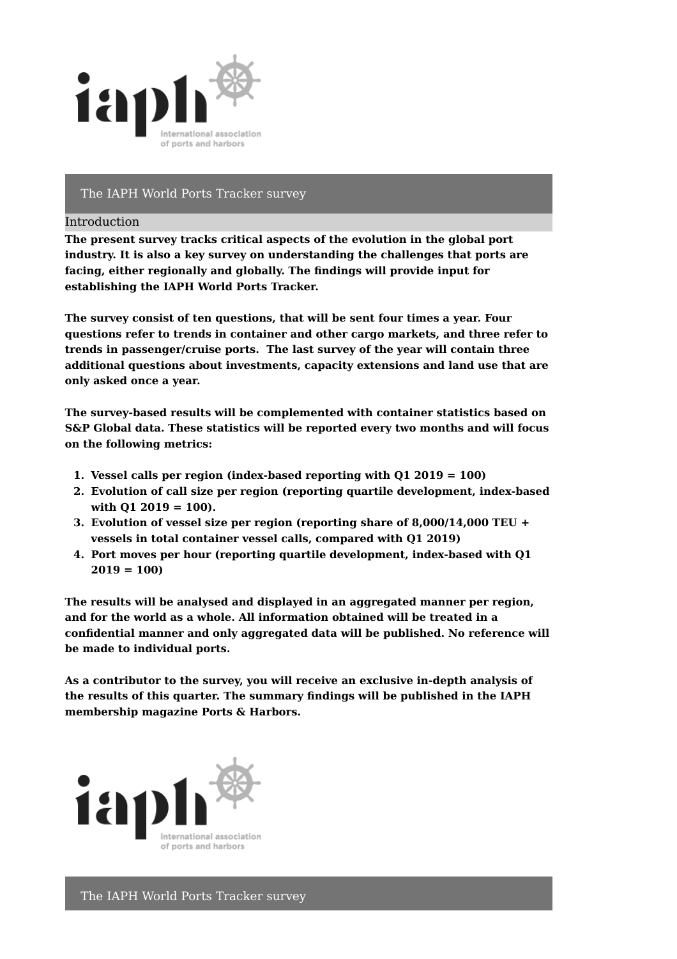

# The IAPH World Ports Tracker survey

### Introduction

**The present survey tracks critical aspects of the evolution in the global port industry. It is also a key survey on understanding the challenges that ports are facing, either regionally and globally. The findings will provide input for establishing the IAPH World Ports Tracker.**

**The survey consist of ten questions, that will be sent four times a year. Four questions refer to trends in container and other cargo markets, and three refer to trends in passenger/cruise ports. The last survey of the year will contain three additional questions about investments, capacity extensions and land use that are only asked once a year.**

**The survey-based results will be complemented with container statistics based on S&P Global data. These statistics will be reported every two months and will focus on the following metrics:**

- **1. Vessel calls per region (index-based reporting with Q1 2019 = 100)**
- **2. Evolution of call size per region (reporting quartile development, index-based with Q1 2019 = 100).**
- **3. Evolution of vessel size per region (reporting share of 8,000/14,000 TEU + vessels in total container vessel calls, compared with Q1 2019)**
- **4. Port moves per hour (reporting quartile development, index-based with Q1 2019 = 100)**

**The results will be analysed and displayed in an aggregated manner per region, and for the world as a whole. All information obtained will be treated in a confidential manner and only aggregated data will be published. No reference will be made to individual ports.**

**As a contributor to the survey, you will receive an exclusive in-depth analysis of the results of this quarter. The summary findings will be published in the IAPH membership magazine Ports & Harbors.**

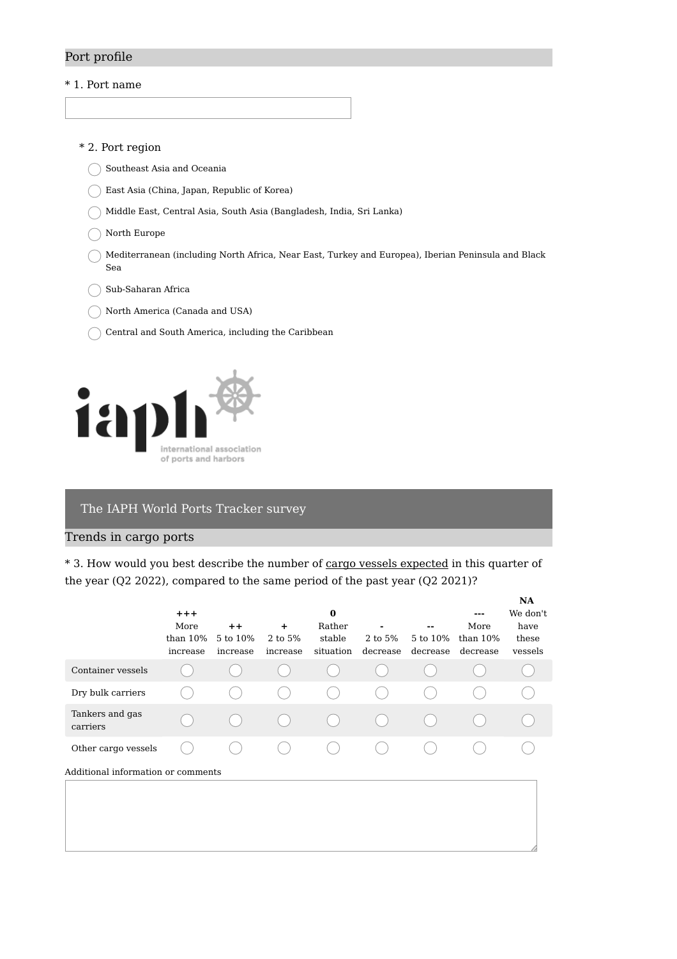# Port profile

### \* 1. Port name

### \* 2. Port region

- Southeast Asia and Oceania
- East Asia (China, Japan, Republic of Korea)
- Middle East, Central Asia, South Asia (Bangladesh, India, Sri Lanka)
- ◯ North Europe
- Mediterranean (including North Africa, Near East, Turkey and Europea), Iberian Peninsula and Black Sea
- Sub-Saharan Africa (
- North America (Canada and USA)
- Central and South America, including the Caribbean



## The IAPH World Ports Tracker survey

### Trends in cargo ports

\* 3. How would you best describe the number of cargo vessels expected in this quarter of the year (Q2 2022), compared to the same period of the past year (Q2 2021)?

|                                    | $+ + +$<br>More<br>than $10\%$<br>increase | $++$<br>5 to 10%<br>increase | $+$<br>2 to 5%<br>increase | $\bf{0}$<br>Rather<br>stable<br>situation | 2 to 5%<br>decrease | --<br>5 to 10%<br>decrease | ---<br>More<br>than $10\%$<br>decrease | <b>NA</b><br>We don't<br>have<br>these<br>vessels |
|------------------------------------|--------------------------------------------|------------------------------|----------------------------|-------------------------------------------|---------------------|----------------------------|----------------------------------------|---------------------------------------------------|
| Container vessels                  |                                            |                              |                            |                                           |                     |                            |                                        |                                                   |
| Dry bulk carriers                  |                                            |                              |                            |                                           |                     |                            |                                        |                                                   |
| Tankers and gas<br>carriers        |                                            |                              |                            |                                           |                     |                            |                                        |                                                   |
| Other cargo vessels                |                                            |                              |                            |                                           |                     |                            |                                        |                                                   |
| Additional information or comments |                                            |                              |                            |                                           |                     |                            |                                        |                                                   |
|                                    |                                            |                              |                            |                                           |                     |                            |                                        |                                                   |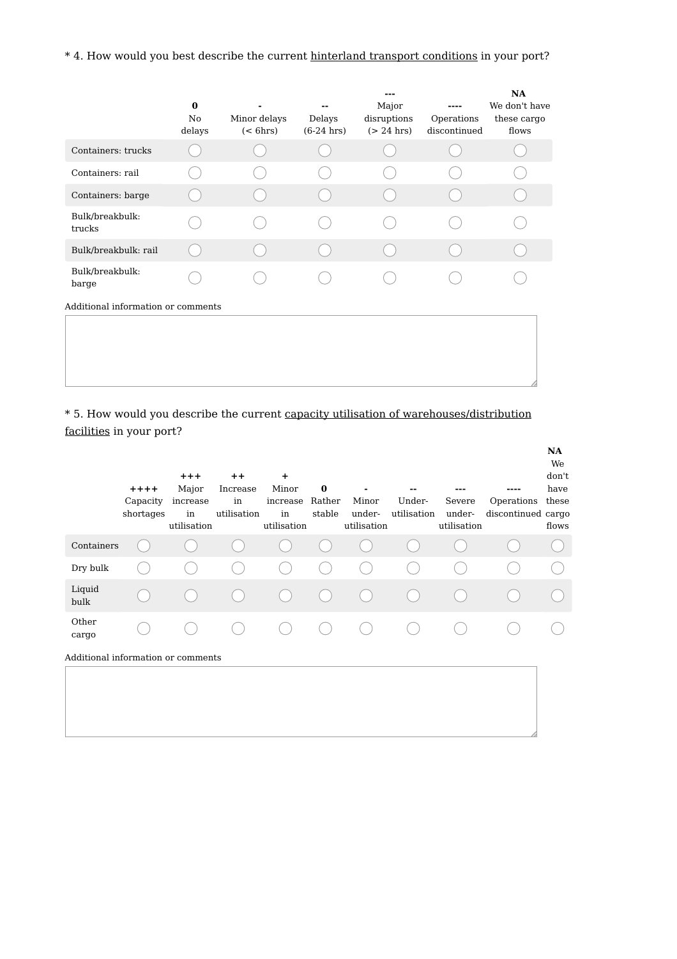# \* 4. How would you best describe the current hinterland transport conditions in your port?

|                                    | $\bf{0}$<br>No<br>delays | Minor delays<br>$(<$ 6hrs) | Delays<br>$(6-24)$ hrs) | Major<br>disruptions<br>$(> 24$ hrs) | ----<br>Operations<br>discontinued | NA<br>We don't have<br>these cargo<br>flows |
|------------------------------------|--------------------------|----------------------------|-------------------------|--------------------------------------|------------------------------------|---------------------------------------------|
| Containers: trucks                 |                          |                            |                         |                                      |                                    |                                             |
| Containers: rail                   |                          |                            |                         |                                      |                                    |                                             |
| Containers: barge                  |                          |                            |                         |                                      |                                    |                                             |
| Bulk/breakbulk:<br>trucks          |                          |                            |                         |                                      |                                    |                                             |
| Bulk/breakbulk: rail               |                          |                            |                         |                                      |                                    |                                             |
| Bulk/breakbulk:<br>barge           |                          |                            |                         |                                      |                                    |                                             |
| Additional information or comments |                          |                            |                         |                                      |                                    |                                             |
|                                    |                          |                            |                         |                                      |                                    |                                             |

\* 5. How would you describe the current capacity utilisation of warehouses/distribution facilities in your port?

|                                    | $+ + + +$<br>Capacity<br>shortages | $+ + +$<br>Major<br>increase<br>in<br>utilisation | $++$<br>Increase<br>in<br>utilisation | $\ddot{}$<br>Minor<br>increase<br>in<br>utilisation | $\bf{0}$<br>Rather<br>stable | ٠<br>Minor<br>under-<br>utilisation | --<br>Under-<br>utilisation | ---<br>Severe<br>under-<br>utilisation | Operations<br>discontinued cargo | NA<br>We<br>don't<br>have<br>these<br>flows |
|------------------------------------|------------------------------------|---------------------------------------------------|---------------------------------------|-----------------------------------------------------|------------------------------|-------------------------------------|-----------------------------|----------------------------------------|----------------------------------|---------------------------------------------|
| Containers                         |                                    |                                                   |                                       |                                                     |                              |                                     |                             |                                        |                                  |                                             |
| Dry bulk                           |                                    |                                                   |                                       |                                                     |                              |                                     |                             |                                        |                                  |                                             |
| Liquid<br>bulk                     |                                    |                                                   |                                       |                                                     |                              |                                     |                             |                                        |                                  |                                             |
| Other<br>cargo                     |                                    |                                                   |                                       |                                                     |                              |                                     |                             |                                        |                                  |                                             |
| Additional information or comments |                                    |                                                   |                                       |                                                     |                              |                                     |                             |                                        |                                  |                                             |
|                                    |                                    |                                                   |                                       |                                                     |                              |                                     |                             |                                        |                                  |                                             |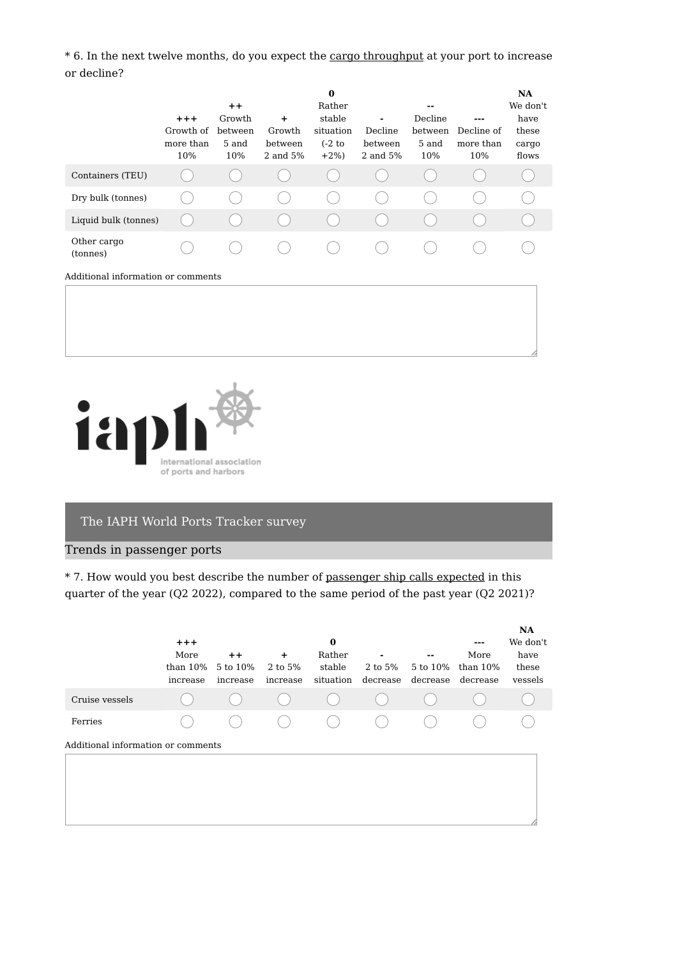\* 6. In the next twelve months, do you expect the cargo throughput at your port to increase or decline?

|                                    | $+ + +$<br>Growth of<br>more than<br>10% | $++$<br>Growth<br>between<br>5 and<br>10% | $\ddot{}$<br>Growth<br>between<br>2 and 5% | $\bf{0}$<br>Rather<br>stable<br>situation<br>$(-2)$ to<br>$+2\%$ | Decline<br>between<br>2 and 5% | --<br>Decline<br>between<br>5 and<br>10% | Decline of<br>more than<br>10% | NA<br>We don't<br>have<br>these<br>cargo<br>flows |
|------------------------------------|------------------------------------------|-------------------------------------------|--------------------------------------------|------------------------------------------------------------------|--------------------------------|------------------------------------------|--------------------------------|---------------------------------------------------|
| Containers (TEU)                   |                                          |                                           |                                            |                                                                  |                                |                                          |                                |                                                   |
| Dry bulk (tonnes)                  |                                          |                                           |                                            |                                                                  |                                |                                          |                                |                                                   |
| Liquid bulk (tonnes)               |                                          |                                           |                                            |                                                                  |                                |                                          |                                |                                                   |
| Other cargo<br>(tonnes)            |                                          |                                           |                                            |                                                                  |                                |                                          |                                |                                                   |
| Additional information or comments |                                          |                                           |                                            |                                                                  |                                |                                          |                                |                                                   |



# The IAPH World Ports Tracker survey

## Trends in passenger ports

\* 7. How would you best describe the number of passenger ship calls expected in this quarter of the year (Q2 2022), compared to the same period of the past year (Q2 2021)?

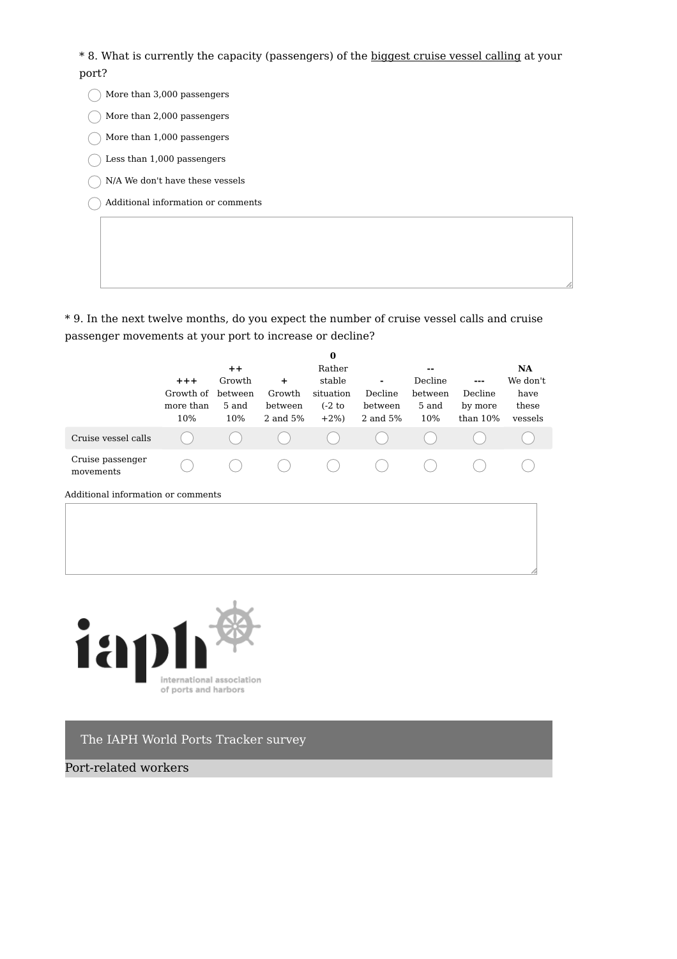\* 8. What is currently the capacity (passengers) of the biggest cruise vessel calling at your port?

- $\bigcap$  More than 3,000 passengers More than 2,000 passengers
- $\bigcirc$  More than 1,000 passengers
- $\bigcirc$  Less than 1,000 passengers
- $\bigcap$  N/A We don't have these vessels
- Additional information or comments

\* 9. In the next twelve months, do you expect the number of cruise vessel calls and cruise passenger movements at your port to increase or decline?

|                               |           |         |          | 0         |          |         |            |           |
|-------------------------------|-----------|---------|----------|-----------|----------|---------|------------|-----------|
|                               |           | $++$    |          | Rather    |          | $- -$   |            | <b>NA</b> |
|                               | $+ + +$   | Growth  | +        | stable    | ٠        | Decline | ---        | We don't  |
|                               | Growth of | between | Growth   | situation | Decline  | between | Decline    | have      |
|                               | more than | 5 and   | between  | $(-2)$ to | between  | 5 and   | by more    | these     |
|                               | 10%       | 10%     | 2 and 5% | $+2\%$    | 2 and 5% | 10%     | than $10%$ | vessels   |
| Cruise vessel calls           |           |         |          |           |          |         |            |           |
| Cruise passenger<br>movements |           |         |          |           |          |         |            |           |
|                               |           |         |          |           |          |         |            |           |

Additional information or comments



The IAPH World Ports Tracker survey

Port-related workers